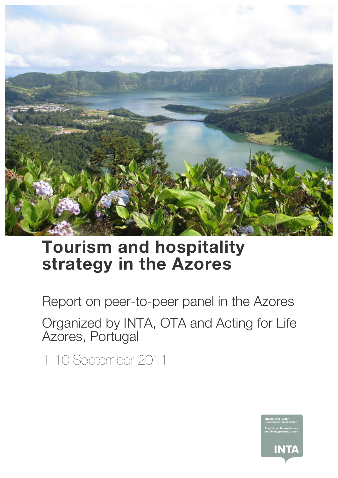

## **Tourism and hospitality strategy in the Azores**

Report on peer-to-peer panel in the Azores

Organized by INTA, OTA and Acting for Life Azores, Portugal

1-10 September 2011

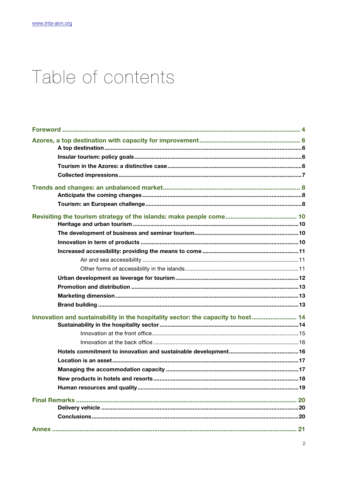# Table of contents

| Innovation and sustainability in the hospitality sector: the capacity to host 14 |     |
|----------------------------------------------------------------------------------|-----|
|                                                                                  |     |
|                                                                                  |     |
|                                                                                  |     |
|                                                                                  |     |
|                                                                                  |     |
|                                                                                  |     |
|                                                                                  | .18 |
|                                                                                  |     |
|                                                                                  |     |
|                                                                                  |     |
|                                                                                  |     |
|                                                                                  |     |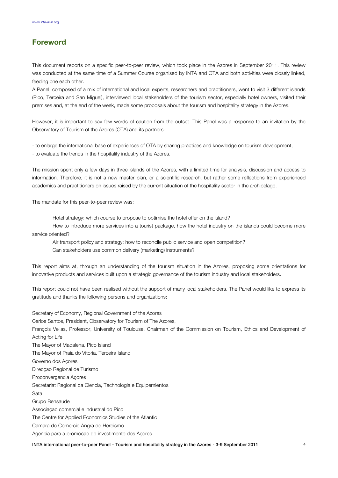## **Foreword**

This document reports on a specific peer-to-peer review, which took place in the Azores in September 2011. This review was conducted at the same time of a Summer Course organised by INTA and OTA and both activities were closely linked, feeding one each other.

A Panel, composed of a mix of international and local experts, researchers and practitioners, went to visit 3 different islands (Pico, Terceira and San Miguel), interviewed local stakeholders of the tourism sector, especially hotel owners, visited their premises and, at the end of the week, made some proposals about the tourism and hospitality strategy in the Azores.

However, it is important to say few words of caution from the outset. This Panel was a response to an invitation by the Observatory of Tourism of the Azores (OTA) and its partners:

- to enlarge the international base of experiences of OTA by sharing practices and knowledge on tourism development, - to evaluate the trends in the hospitality industry of the Azores.

The mission spent only a few days in three islands of the Azores, with a limited time for analysis, discussion and access to information. Therefore, it is not a new master plan, or a scientific research, but rather some reflections from experienced academics and practitioners on issues raised by the current situation of the hospitality sector in the archipelago.

The mandate for this peer-to-peer review was:

Hotel strategy: which course to propose to optimise the hotel offer on the island?

How to introduce more services into a tourist package, how the hotel industry on the islands could become more service oriented?

Air transport policy and strategy: how to reconcile public service and open competition?

Can stakeholders use common delivery (marketing) instruments?

This report aims at, through an understanding of the tourism situation in the Azores, proposing some orientations for innovative products and services built upon a strategic governance of the tourism industry and local stakeholders.

This report could not have been realised without the support of many local stakeholders. The Panel would like to express its gratitude and thanks the following persons and organizations:

Secretary of Economy, Regional Government of the Azores Carlos Santos, President, Observatory for Tourism of The Azores, François Vellas, Professor, University of Toulouse, Chairman of the Commission on Tourism, Ethics and Development of Acting for Life The Mayor of Madalena, Pico Island The Mayor of Praia do Vitoria, Terceira Island Governo dos Açores Direcçao Regional de Turismo Proconvergencia Açores Secretariat Regional da Ciencia, Technologia e Equipemientos Sata Grupo Bensaude Associaçao comercial e industrial do Pico The Centre for Applied Economics Studies of the Atlantic Camara do Comercio Angra do Heroismo Agencia para a promocao do investimento dos Açores

INTA international peer-to-peer Panel – Tourism and hospitality strategy in the Azores - 3-9 September 2011 4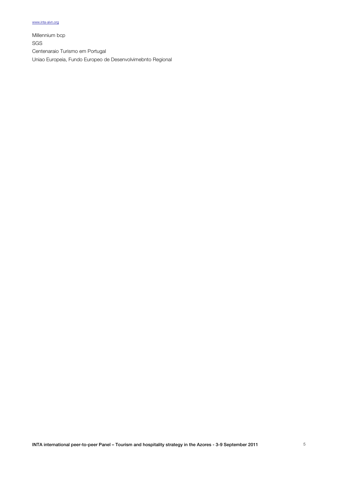Millennium bcp SGS Centenaraio Turismo em Portugal Uniao Europeia, Fundo Europeo de Desenvolvimebnto Regional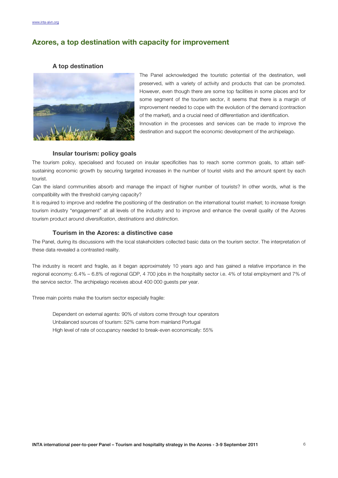## **Azores, a top destination with capacity for improvement**

#### **A top destination**



The Panel acknowledged the touristic potential of the destination, well preserved, with a variety of activity and products that can be promoted. However, even though there are some top facilities in some places and for some segment of the tourism sector, it seems that there is a margin of improvement needed to cope with the evolution of the demand (contraction of the market), and a crucial need of differentiation and identification. Innovation in the processes and services can be made to improve the destination and support the economic development of the archipelago.

#### **Insular tourism: policy goals**

The tourism policy, specialised and focused on insular specificities has to reach some common goals, to attain selfsustaining economic growth by securing targeted increases in the number of tourist visits and the amount spent by each tourist.

Can the island communities absorb and manage the impact of higher number of tourists? In other words, what is the compatibility with the threshold carrying capacity?

It is required to improve and redefine the positioning of the destination on the international tourist market; to increase foreign tourism industry "engagement" at all levels of the industry and to improve and enhance the overall quality of the Azores tourism product around *diversification*, *destinations* and *distinction.*

#### **Tourism in the Azores: a distinctive case**

The Panel, during its discussions with the local stakeholders collected basic data on the tourism sector. The interpretation of these data revealed a contrasted reality.

The industry is recent and fragile, as it began approximately 10 years ago and has gained a relative importance in the regional economy: 6.4% – 6.8% of regional GDP, 4 700 jobs in the hospitality sector i.e. 4% of total employment and 7% of the service sector. The archipelago receives about 400 000 guests per year.

Three main points make the tourism sector especially fragile:

Dependent on external agents: 90% of visitors come through tour operators Unbalanced sources of tourism: 52% came from mainland Portugal High level of rate of occupancy needed to break-even economically: 55%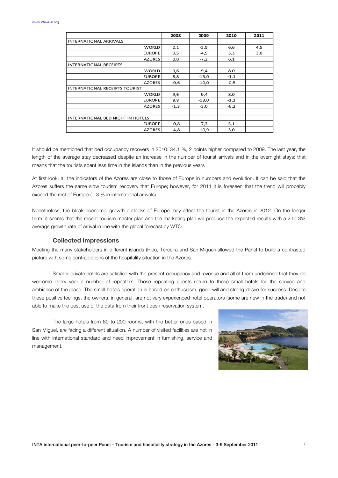|                                       | 2008   | 2009    | 2010   | 2011 |
|---------------------------------------|--------|---------|--------|------|
| <b>INTERNATIONAL ARRIVALS</b>         |        |         |        |      |
| <b>WORLD</b>                          | 2,1    | $-3,9$  | 6,6    | 4,5  |
| <b>EUROPE</b>                         | 0,5    | $-4,9$  | 3,3    | 3,0  |
| <b>AZORES</b>                         | 0,8    | $-7,2$  | 6,1    |      |
| <b>INTERNATIONAL RECEIPTS</b>         |        |         |        |      |
| <b>WORLD</b>                          | 9,6    | $-9,4$  | 8,0    |      |
| <b>EUROPE</b>                         | 8,8    | $-13,0$ | $-1,1$ |      |
| <b>AZORES</b>                         | $-0,6$ | $-10,0$ | $-0,5$ |      |
| <b>INTERNATIONAL RECEIPTS TOURIST</b> |        |         |        |      |
| <b>WORLD</b>                          | 9,6    | $-9,4$  | 8,0    |      |
| <b>EUROPE</b>                         | 8,8    | $-13,0$ | $-1,1$ |      |
| <b>AZORES</b>                         | $-1,3$ | $-3,0$  | $-6,2$ |      |
|                                       |        |         |        |      |
| INTERNATIONAL BED NIGHT IN HOTELS     |        |         |        |      |
| <b>EUROPE</b>                         | $-0,8$ | $-7,3$  | 5,1    |      |
| <b>AZORES</b>                         | $-4,8$ | $-10.9$ | 3,0    |      |

It should be mentioned that bed occupancy recovers in 2010: 34.1 %, 2 points higher compared to 2009. The last year, the length of the average stay decreased despite an increase in the number of tourist arrivals and in the overnight stays; that means that the tourists spent less time in the islands than in the previous years

At first look, all the indicators of the Azores are close to those of Europe in numbers and evolution. It can be said that the Azores suffers the same slow tourism recovery that Europe; however, for 2011 it is foreseen that the trend will probably exceed the rest of Europe (+ 3 % in international arrivals).

Nonetheless, the bleak economic growth outlooks of Europe may affect the tourist in the Azores in 2012. On the longer term, it seems that the recent tourism master plan and the marketing plan will produce the expected results with a 2 to 3% average growth rate of arrival in line with the global forecast by WTO.

#### **Collected impressions**

Meeting the many stakeholders in different islands (Pico, Terceira and San Miguel) allowed the Panel to build a contrasted picture with some contradictions of the hospitality situation in the Azores.

Smaller private hotels are satisfied with the present occupancy and revenue and all of them underlined that they do welcome every year a number of repeaters. Those repeating guests return to these small hotels for the service and ambiance of the place. The small hotels operation is based on enthusiasm, good will and strong desire for success. Despite these positive feelings, the owners, in general, are not very experienced hotel operators (some are new in the trade) and not able to make the best use of the data from their front desk reservation system.

The large hotels from 80 to 200 rooms, with the better ones based in San Miguel, are facing a different situation. A number of visited facilities are not in line with international standard and need improvement in furnishing, service and management.

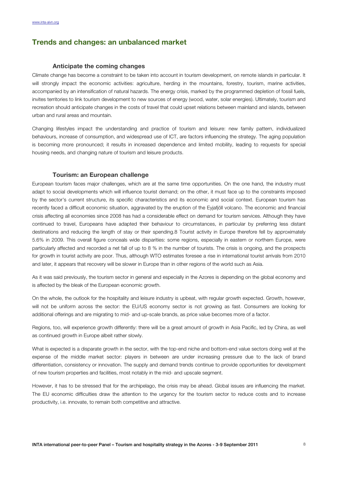## **Trends and changes: an unbalanced market**

#### **Anticipate the coming changes**

Climate change has become a constraint to be taken into account in tourism development, on remote islands in particular. It will strongly impact the economic activities: agriculture, herding in the mountains, forestry, tourism, marine activities, accompanied by an intensification of natural hazards. The energy crisis, marked by the programmed depletion of fossil fuels, invites territories to link tourism development to new sources of energy (wood, water, solar energies). Ultimately, tourism and recreation should anticipate changes in the costs of travel that could upset relations between mainland and islands, between urban and rural areas and mountain.

Changing lifestyles impact the understanding and practice of tourism and leisure: new family pattern, individualized behaviours, increase of consumption, and widespread use of ICT, are factors influencing the strategy. The aging population is becoming more pronounced; it results in increased dependence and limited mobility, leading to requests for special housing needs, and changing nature of tourism and leisure products.

#### **Tourism: an European challenge**

European tourism faces major challenges, which are at the same time opportunities. On the one hand, the industry must adapt to social developments which will influence tourist demand; on the other, it must face up to the constraints imposed by the sector's current structure, its specific characteristics and its economic and social context. European tourism has recently faced a difficult economic situation, aggravated by the eruption of the Eyjafjöll volcano. The economic and financial crisis affecting all economies since 2008 has had a considerable effect on demand for tourism services. Although they have continued to travel, Europeans have adapted their behaviour to circumstances, in particular by preferring less distant destinations and reducing the length of stay or their spending.8 Tourist activity in Europe therefore fell by approximately 5.6% in 2009. This overall figure conceals wide disparities: some regions, especially in eastern or northern Europe, were particularly affected and recorded a net fall of up to 8 % in the number of tourists. The crisis is ongoing, and the prospects for growth in tourist activity are poor. Thus, although WTO estimates foresee a rise in international tourist arrivals from 2010 and later, it appears that recovery will be slower in Europe than in other regions of the world such as Asia.

As it was said previously, the tourism sector in general and especially in the Azores is depending on the global economy and is affected by the bleak of the European economic growth.

On the whole, the outlook for the hospitality and leisure industry is upbeat, with regular growth expected. Growth, however, will not be uniform across the sector: the EU/US economy sector is not growing as fast. Consumers are looking for additional offerings and are migrating to mid- and up-scale brands, as price value becomes more of a factor.

Regions, too, will experience growth differently: there will be a great amount of growth in Asia Pacific, led by China, as well as continued growth in Europe albeit rather slowly.

What is expected is a disparate growth in the sector, with the top-end niche and bottom-end value sectors doing well at the expense of the middle market sector: players in between are under increasing pressure due to the lack of brand differentiation, consistency or innovation. The supply and demand trends continue to provide opportunities for development of new tourism properties and facilities, most notably in the mid- and upscale segment.

However, it has to be stressed that for the archipelago, the crisis may be ahead. Global issues are influencing the market. The EU economic difficulties draw the attention to the urgency for the tourism sector to reduce costs and to increase productivity, i.e. innovate, to remain both competitive and attractive.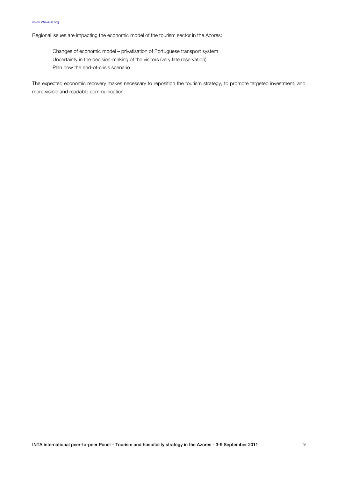Regional issues are impacting the economic model of the tourism sector in the Azores:

Changes of economic model – privatisation of Portuguese transport system Uncertainty in the decision-making of the visitors (very late reservation) Plan now the end-of-crisis scenario

The expected economic recovery makes necessary to reposition the tourism strategy, to promote targeted investment, and more visible and readable communication.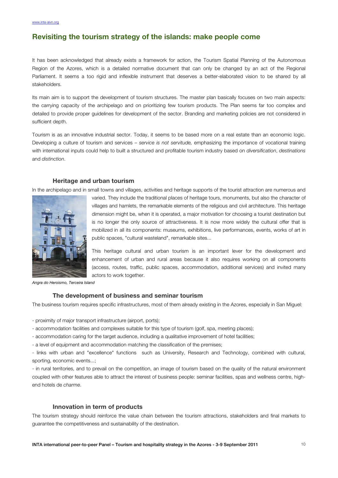## **Revisiting the tourism strategy of the islands: make people come**

It has been acknowledged that already exists a framework for action, the Tourism Spatial Planning of the Autonomous Region of the Azores, which is a detailed normative document that can only be changed by an act of the Regional Parliament. It seems a too rigid and inflexible instrument that deserves a better-elaborated vision to be shared by all stakeholders.

Its main aim is to support the development of tourism structures. The master plan basically focuses on two main aspects: the carrying capacity of the archipelago and on prioritizing few tourism products. The Plan seems far too complex and detailed to provide proper guidelines for development of the sector. Branding and marketing policies are not considered in sufficient depth.

Tourism is as an innovative industrial sector. Today, it seems to be based more on a real estate than an economic logic. Developing a culture of tourism and services – *service is not servitude,* emphasizing the importance of vocational training with international inputs could help to built a structured and profitable tourism industry based on *diversification*, *destinations*  and *distinction*.

#### **Heritage and urban tourism**

In the archipelago and in small towns and villages, activities and heritage supports of the tourist attraction are numerous and



varied. They include the traditional places of heritage tours, monuments, but also the character of villages and hamlets, the remarkable elements of the religious and civil architecture. This heritage dimension might be, when it is operated, a major motivation for choosing a tourist destination but is no longer the only source of attractiveness. It is now more widely the cultural offer that is mobilized in all its components: museums, exhibitions, live performances, events, works of art in public spaces, "cultural wasteland", remarkable sites...

This heritage cultural and urban tourism is an important lever for the development and enhancement of urban and rural areas because it also requires working on all components (access, routes, traffic, public spaces, accommodation, additional services) and invited many actors to work together.

*Angra do Heroismo, Terceira Island*

#### **The development of business and seminar tourism**

The business tourism requires specific infrastructures, most of them already existing in the Azores, especially in San Miguel:

- proximity of major transport infrastructure (airport, ports);

- accommodation facilities and complexes suitable for this type of tourism (golf, spa, meeting places);
- accommodation caring for the target audience, including a qualitative improvement of hotel facilities;

- a level of equipment and accommodation matching the classification of the premises;

- links with urban and "excellence" functions such as University, Research and Technology, combined with cultural, sporting, economic events...;

- in rural territories, and to prevail on the competition, an image of tourism based on the quality of the natural environment coupled with other features able to attract the interest of business people: seminar facilities, spas and wellness centre, highend hotels de *charme*.

#### **Innovation in term of products**

The tourism strategy should reinforce the value chain between the tourism attractions, stakeholders and final markets to guarantee the competitiveness and sustainability of the destination.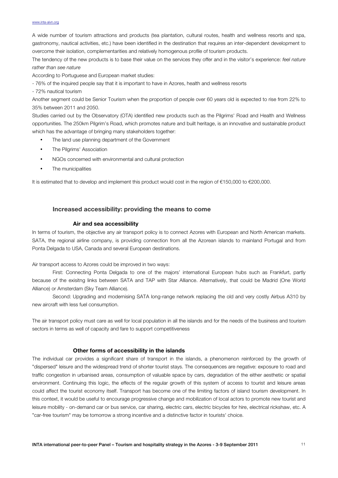A wide number of tourism attractions and products (tea plantation, cultural routes, health and wellness resorts and spa, gastronomy, nautical activities, etc.) have been identified in the destination that requires an inter-dependent development to overcome their isolation, complementarities and relatively homogenous profile of tourism products.

The tendency of the new products is to base their value on the services they offer and in the visitor's experience: *feel nature rather than see nature*

According to Portuguese and European market studies:

- 76% of the inquired people say that it is important to have in Azores, health and wellness resorts

- 72% nautical tourism

Another segment could be Senior Tourism when the proportion of people over 60 years old is expected to rise from 22% to 35% between 2011 and 2050.

Studies carried out by the Observatory (OTA) identified new products such as the Pilgrims' Road and Health and Wellness opportunities. The 250km Pilgrim's Road, which promotes nature and built heritage, is an innovative and sustainable product which has the advantage of bringing many stakeholders together:

- The land use planning department of the Government
- The Pilgrims' Association
- NGOs concerned with environmental and cultural protection
- The municipalities

It is estimated that to develop and implement this product would cost in the region of €150,000 to €200,000.

#### **Increased accessibility: providing the means to come**

#### **Air and sea accessibility**

In terms of tourism, the objective any air transport policy is to connect Azores with European and North American markets. SATA, the regional airline company, is providing connection from all the Azorean islands to mainland Portugal and from Ponta Delgada to USA, Canada and several European destinations.

#### Air transport access to Azores could be improved in two ways:

First: Connecting Ponta Delgada to one of the majors' international European hubs such as Frankfurt, partly because of the exisitng links between SATA and TAP with Star Alliance. Alternatively, that could be Madrid (One World Alliance) or Amsterdam (Sky Team Alliance).

Second: Upgrading and modernising SATA long-range network replacing the old and very costly Airbus A310 by new aircraft with less fuel consumption.

The air transport policy must care as well for local population in all the islands and for the needs of the business and tourism sectors in terms as well of capacity and fare to support competitiveness

#### **Other forms of accessibility in the islands**

The individual car provides a significant share of transport in the islands, a phenomenon reinforced by the growth of "dispersed" leisure and the widespread trend of shorter tourist stays. The consequences are negative: exposure to road and traffic congestion in urbanised areas, consumption of valuable space by cars, degradation of the either aesthetic or spatial environment. Continuing this logic, the effects of the regular growth of this system of access to tourist and leisure areas could affect the tourist economy itself. Transport has become one of the limiting factors of island tourism development. In this context, it would be useful to encourage progressive change and mobilization of local actors to promote new tourist and leisure mobility - on-demand car or bus service, car sharing, electric cars, electric bicycles for hire, electrical rickshaw, etc. A "car-free tourism" may be tomorrow a strong incentive and a distinctive factor in tourists' choice.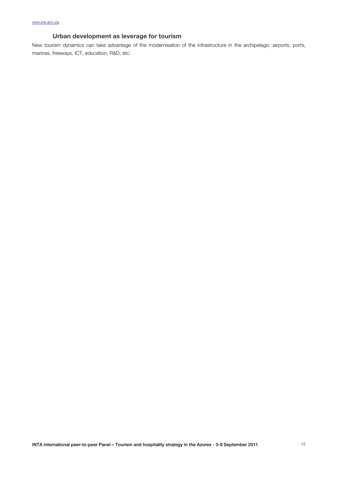## **Urban development as leverage for tourism**

New tourism dynamics can take advantage of the modernisation of the infrastructure in the archipelago: airports, ports, marinas, freeways, ICT, education, R&D, etc.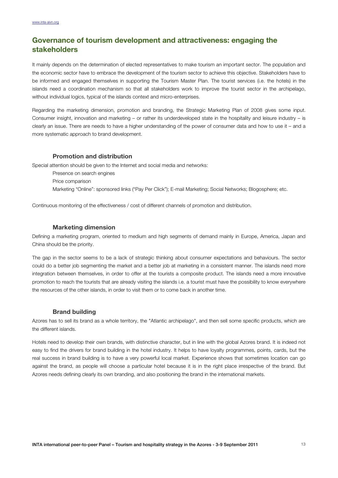## **Governance of tourism development and attractiveness: engaging the stakeholders**

It mainly depends on the determination of elected representatives to make tourism an important sector. The population and the economic sector have to embrace the development of the tourism sector to achieve this objective. Stakeholders have to be informed and engaged themselves in supporting the Tourism Master Plan. The tourist services (i.e. the hotels) in the islands need a coordination mechanism so that all stakeholders work to improve the tourist sector in the archipelago, without individual logics, typical of the islands context and micro-enterprises.

Regarding the marketing dimension, promotion and branding, the Strategic Marketing Plan of 2008 gives some input. Consumer insight, innovation and marketing – or rather its underdeveloped state in the hospitality and leisure industry – is clearly an issue. There are needs to have a higher understanding of the power of consumer data and how to use it – and a more systematic approach to brand development.

#### **Promotion and distribution**

Special attention should be given to the Internet and social media and networks:

- Presence on search engines
- Price comparison

Marketing "Online": sponsored links ("Pay Per Click"); E-mail Marketing; Social Networks; Blogosphere; etc.

Continuous monitoring of the effectiveness / cost of different channels of promotion and distribution.

#### **Marketing dimension**

Defining a marketing program, oriented to medium and high segments of demand mainly in Europe, America, Japan and China should be the priority.

The gap in the sector seems to be a lack of strategic thinking about consumer expectations and behaviours. The sector could do a better job segmenting the market and a better job at marketing in a consistent manner. The islands need more integration between themselves, in order to offer at the tourists a composite product. The islands need a more innovative promotion to reach the tourists that are already visiting the islands i.e. a tourist must have the possibility to know everywhere the resources of the other islands, in order to visit them or to come back in another time.

#### **Brand building**

Azores has to sell its brand as a whole territory, the "Atlantic archipelago", and then sell some specific products, which are the different islands.

Hotels need to develop their own brands, with distinctive character, but in line with the global Azores brand. It is indeed not easy to find the drivers for brand building in the hotel industry. It helps to have loyalty programmes, points, cards, but the real success in brand building is to have a very powerful local market. Experience shows that sometimes location can go against the brand, as people will choose a particular hotel because it is in the right place irrespective of the brand. But Azores needs defining clearly its own branding, and also positioning the brand in the international markets.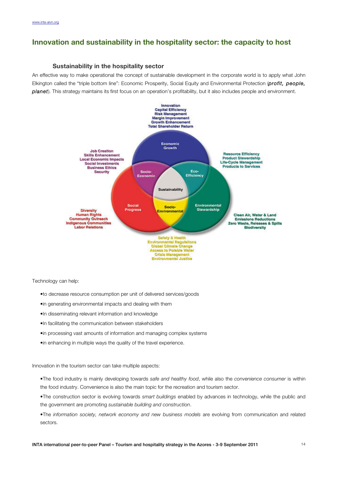## **Innovation and sustainability in the hospitality sector: the capacity to host**

#### **Sustainability in the hospitality sector**

An effective way to make operational the concept of sustainable development in the corporate world is to apply what John Elkington called the "triple bottom line": Economic Prosperity, Social Equity and Environmental Protection (*profit, people, planet*). This strategy maintains its first focus on an operation's profitability, but it also includes people and environment.



Technology can help:

- •to decrease resource consumption per unit of delivered services/goods
- •in generating environmental impacts and dealing with them
- •In disseminating relevant information and knowledge
- •In facilitating the communication between stakeholders
- •in processing vast amounts of information and managing complex systems
- •in enhancing in multiple ways the quality of the travel experience.

Innovation in the tourism sector can take multiple aspects:

- •The food industry is mainly developing towards *safe and healthy food*, while also the *convenience consumer* is within the food industry. Convenience is also the main topic for the recreation and tourism sector.
- •The construction sector is evolving towards *smart buildings* enabled by advances in technology, while the public and the government are promoting *sustainable building and construction*.
- •The *information society, network economy and new business models* are evolving from communication and related sectors.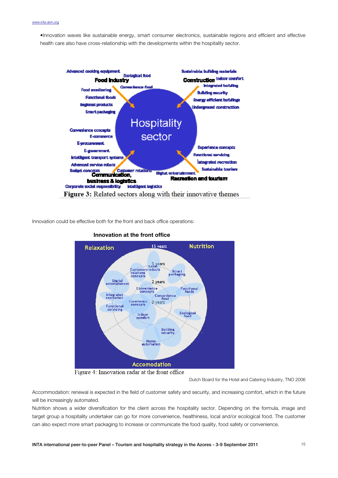•Innovation waves like sustainable energy, smart consumer electronics, sustainable regions and efficient and effective health care also have cross-relationship with the developments within the hospitality sector.



Innovation could be effective both for the front and back office operations:



#### **Innovation at the front office**

Dutch Board for the Hotel and Catering Industry, TNO 2006

Accommodation: renewal is expected in the field of customer safety and security, and increasing comfort, which in the future will be increasingly automated.

Nutrition shows a wider diversification for the client across the hospitality sector. Depending on the formula, image and target group a hospitality undertaker can go for more convenience, healthiness, local and/or ecological food. The customer can also expect more smart packaging to increase or communicate the food quality, food safety or convenience.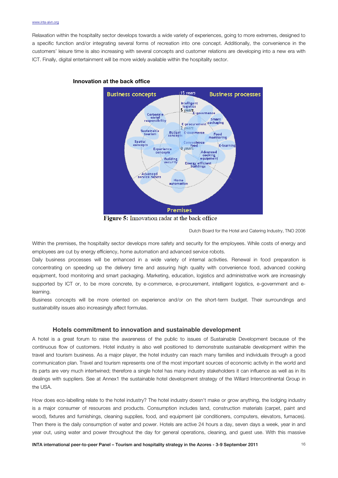Relaxation within the hospitality sector develops towards a wide variety of experiences, going to more extremes, designed to a specific function and/or integrating several forms of recreation into one concept. Additionally, the convenience in the customers' leisure time is also increasing with several concepts and customer relations are developing into a new era with ICT. Finally, digital entertainment will be more widely available within the hospitality sector.



#### **Innovation at the back office**

**Figure 5:** Innovation radar at the back office

Dutch Board for the Hotel and Catering Industry, TNO 2006

Within the premises, the hospitality sector develops more safety and security for the employees. While costs of energy and employees are cut by energy efficiency, home automation and advanced service robots.

Daily business processes will be enhanced in a wide variety of internal activities. Renewal in food preparation is concentrating on speeding up the delivery time and assuring high quality with convenience food, advanced cooking equipment, food monitoring and smart packaging. Marketing, education, logistics and administrative work are increasingly supported by ICT or, to be more concrete, by e-commerce, e-procurement, intelligent logistics, e-government and elearning.

Business concepts will be more oriented on experience and/or on the short-term budget. Their surroundings and sustainability issues also increasingly affect formulas.

#### **Hotels commitment to innovation and sustainable development**

A hotel is a great forum to raise the awareness of the public to issues of Sustainable Development because of the continuous flow of customers. Hotel industry is also well positioned to demonstrate sustainable development within the travel and tourism business. As a major player, the hotel industry can reach many families and individuals through a good communication plan. Travel and tourism represents one of the most important sources of economic activity in the world and its parts are very much intertwined; therefore a single hotel has many industry stakeholders it can influence as well as in its dealings with suppliers. See at Annex1 the sustainable hotel development strategy of the Willard Intercontinental Group in the USA.

How does eco-labelling relate to the hotel industry? The hotel industry doesn't make or grow anything, the lodging industry is a major consumer of resources and products. Consumption includes land, construction materials (carpet, paint and wood), fixtures and furnishings, cleaning supplies, food, and equipment (air conditioners, computers, elevators, furnaces). Then there is the daily consumption of water and power. Hotels are active 24 hours a day, seven days a week, year in and year out, using water and power throughout the day for general operations, cleaning, and guest use. With this massive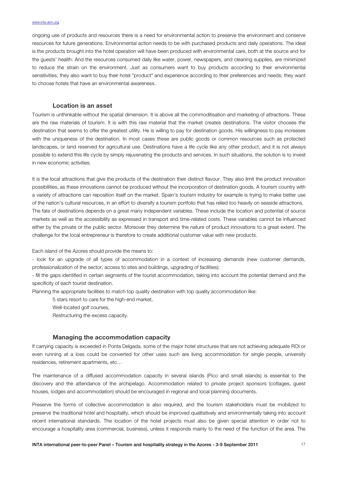ongoing use of products and resources there is a need for environmental action to preserve the environment and conserve resources for future generations. Environmental action needs to be with purchased products and daily operations. The ideal is the products brought into the hotel operation will have been produced with environmental care, both at the source and for the guests' health. And the resources consumed daily like water, power, newspapers, and cleaning supplies, are minimized to reduce the strain on the environment. Just as consumers want to buy products according to their environmental sensitivities, they also want to buy their hotel "product" and experience according to their preferences and needs; they want to choose hotels that have an environmental awareness.

#### **Location is an asset**

Tourism is unthinkable without the spatial dimension. It is above all the commoditisation and marketing of attractions. These are the raw materials of tourism. It is with this raw material that the market creates destinations. The visitor chooses the destination that seems to offer the greatest utility. He is willing to pay for destination goods. His willingness to pay increases with the uniqueness of the destination. In most cases these are public goods or common resources such as protected landscapes, or land reserved for agricultural use. Destinations have a life cycle like any other product, and it is not always possible to extend this life cycle by simply rejuvenating the products and services. In such situations, the solution is to invest in new economic activities.

It is the local attractions that give the products of the destination their distinct flavour. They also limit the product innovation possibilities, as these innovations cannot be produced without the incorporation of destination goods. A tourism country with a variety of attractions can reposition itself on the market. Spain's tourism industry for example is trying to make better use of the nation's cultural resources, in an effort to diversify a tourism portfolio that has relied too heavily on seaside attractions. The fate of destinations depends on a great many independent variables. These include the location and potential of source markets as well as the accessibility as expressed in transport and time-related costs. These variables cannot be influenced either by the private or the public sector. Moreover they determine the nature of product innovations to a great extent. The challenge for the local entrepreneur is therefore to create additional customer value with new products.

Each island of the Azores should provide the means to:

- look for an upgrade of all types of accommodation in a context of increasing demands (new customer demands, professionalization of the sector, access to sites and buildings, upgrading of facilities);

- fill the gaps identified in certain segments of the tourist accommodation, taking into account the potential demand and the specificity of each tourist destination.

Planning the appropriate facilities to match top quality destination with top quality accommodation like:

5 stars resort to care for the high-end market,

Well-located golf courses,

Restructuring the excess capacity.

#### **Managing the accommodation capacity**

If carrying capacity is exceeded in Ponta Delgada, some of the major hotel structures that are not achieving adequate ROI or even running at a loss could be converted for other uses such are living accommodation for single people, university residences, retirement apartments, etc…

The maintenance of a diffused accommodation capacity in several islands (Pico and small islands) is essential to the discovery and the attendance of the archipelago. Accommodation related to private project sponsors (cottages, guest houses, lodges and accommodation) should be encouraged in regional and local planning documents.

Preserve the forms of collective accommodation is also required, and the tourism stakeholders must be mobilized to preserve the traditional hotel and hospitality, which should be improved qualitatively and environmentally taking into account recent international standards. The location of the hotel projects must also be given special attention in order not to encourage a hospitality area (commercial, business), unless it responds mainly to the need of the function of the area. The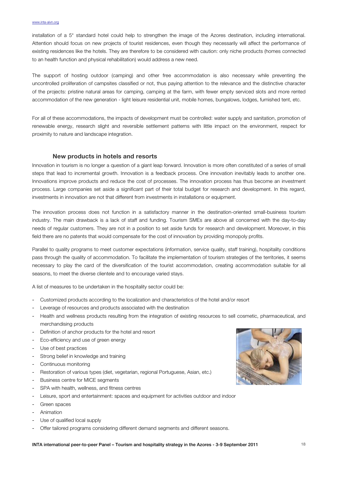installation of a 5\* standard hotel could help to strengthen the image of the Azores destination, including international. Attention should focus on new projects of tourist residences, even though they necessarily will affect the performance of existing residences like the hotels. They are therefore to be considered with caution: only niche products (homes connected to an health function and physical rehabilitation) would address a new need.

The support of hosting outdoor (camping) and other free accommodation is also necessary while preventing the uncontrolled proliferation of campsites classified or not, thus paying attention to the relevance and the distinctive character of the projects: pristine natural areas for camping, camping at the farm, with fewer empty serviced slots and more rented accommodation of the new generation - light leisure residential unit, mobile homes, bungalows, lodges, furnished tent, etc.

For all of these accommodations, the impacts of development must be controlled: water supply and sanitation, promotion of renewable energy, research slight and reversible settlement patterns with little impact on the environment, respect for proximity to nature and landscape integration.

#### **New products in hotels and resorts**

Innovation in tourism is no longer a question of a giant leap forward. Innovation is more often constituted of a series of small steps that lead to incremental growth. Innovation is a feedback process. One innovation inevitably leads to another one. Innovations improve products and reduce the cost of processes. The innovation process has thus become an investment process. Large companies set aside a significant part of their total budget for research and development. In this regard, investments in innovation are not that different from investments in installations or equipment.

The innovation process does not function in a satisfactory manner in the destination-oriented small-business tourism industry. The main drawback is a lack of staff and funding. Tourism SMEs are above all concerned with the day-to-day needs of regular customers. They are not in a position to set aside funds for research and development. Moreover, in this field there are no patents that would compensate for the cost of innovation by providing monopoly profits.

Parallel to quality programs to meet customer expectations (information, service quality, staff training), hospitality conditions pass through the quality of accommodation. To facilitate the implementation of tourism strategies of the territories, it seems necessary to play the card of the diversification of the tourist accommodation, creating accommodation suitable for all seasons, to meet the diverse clientele and to encourage varied stays.

A list of measures to be undertaken in the hospitality sector could be:

- Customized products according to the localization and characteristics of the hotel and/or resort
- Leverage of resources and products associated with the destination
- Health and wellness products resulting from the integration of existing resources to sell cosmetic, pharmaceutical, and merchandising products
- Definition of anchor products for the hotel and resort
- Eco-efficiency and use of green energy
- Use of best practices
- Strong belief in knowledge and training
- Continuous monitoring
- Restoration of various types (diet, vegetarian, regional Portuguese, Asian, etc.)
- Business centre for MICE segments
- SPA with health, wellness, and fitness centres
- Leisure, sport and entertainment: spaces and equipment for activities outdoor and indoor
- Green spaces
- Animation
- Use of qualified local supply
- Offer tailored programs considering different demand segments and different seasons.

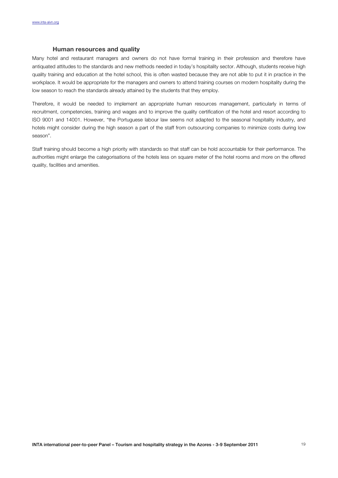#### **Human resources and quality**

Many hotel and restaurant managers and owners do not have formal training in their profession and therefore have antiquated attitudes to the standards and new methods needed in today's hospitality sector. Although, students receive high quality training and education at the hotel school, this is often wasted because they are not able to put it in practice in the workplace. It would be appropriate for the managers and owners to attend training courses on modern hospitality during the low season to reach the standards already attained by the students that they employ.

Therefore, it would be needed to implement an appropriate human resources management, particularly in terms of recruitment, competencies, training and wages and to improve the quality certification of the hotel and resort according to ISO 9001 and 14001. However, "the Portuguese labour law seems not adapted to the seasonal hospitality industry, and hotels might consider during the high season a part of the staff from outsourcing companies to minimize costs during low season".

Staff training should become a high priority with standards so that staff can be hold accountable for their performance. The authorities might enlarge the categorisations of the hotels less on square meter of the hotel rooms and more on the offered quality, facilities and amenities.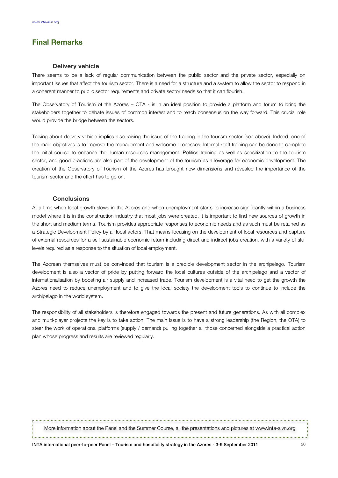## **Final Remarks**

#### **Delivery vehicle**

There seems to be a lack of regular communication between the public sector and the private sector, especially on important issues that affect the tourism sector. There is a need for a structure and a system to allow the sector to respond in a coherent manner to public sector requirements and private sector needs so that it can flourish.

The Observatory of Tourism of the Azores – OTA - is in an ideal position to provide a platform and forum to bring the stakeholders together to debate issues of common interest and to reach consensus on the way forward. This crucial role would provide the bridge between the sectors.

Talking about delivery vehicle implies also raising the issue of the training in the tourism sector (see above). Indeed, one of the main objectives is to improve the management and welcome processes. Internal staff training can be done to complete the initial course to enhance the human resources management. Politics training as well as sensitization to the tourism sector, and good practices are also part of the development of the tourism as a leverage for economic development. The creation of the Observatory of Tourism of the Azores has brought new dimensions and revealed the importance of the tourism sector and the effort has to go on.

#### **Conclusions**

At a time when local growth slows in the Azores and when unemployment starts to increase significantly within a business model where it is in the construction industry that most jobs were created, it is important to find new sources of growth in the short and medium terms. Tourism provides appropriate responses to economic needs and as such must be retained as a Strategic Development Policy by all local actors. That means focusing on the development of local resources and capture of external resources for a self sustainable economic return including direct and indirect jobs creation, with a variety of skill levels required as a response to the situation of local employment.

The Azorean themselves must be convinced that tourism is a credible development sector in the archipelago. Tourism development is also a vector of pride by putting forward the local cultures outside of the archipelago and a vector of internationalisation by boosting air supply and increased trade. Tourism development is a vital need to get the growth the Azores need to reduce unemployment and to give the local society the development tools to continue to include the archipelago in the world system.

The responsibility of all stakeholders is therefore engaged towards the present and future generations. As with all complex and multi-player projects the key is to take action. The main issue is to have a strong leadership (the Region, the OTA) to steer the work of operational platforms (supply / demand) pulling together all those concerned alongside a practical action plan whose progress and results are reviewed regularly.

More information about the Panel and the Summer Course, all the presentations and pictures at www.inta-aivn.org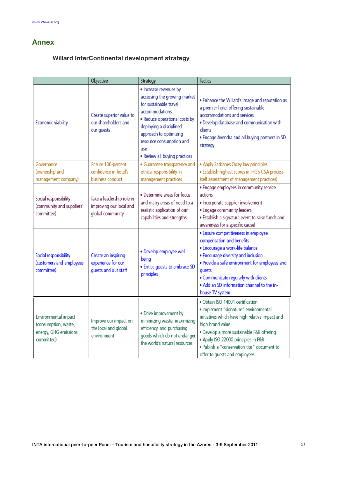## **Annex**

## **Willard InterContinental development strategy**

|                                                                                     | Objective                                                                | Strategy                                                                                                                                                                                                                                                     | <b>Tactics</b>                                                                                                                                                                                                                                                                                                       |
|-------------------------------------------------------------------------------------|--------------------------------------------------------------------------|--------------------------------------------------------------------------------------------------------------------------------------------------------------------------------------------------------------------------------------------------------------|----------------------------------------------------------------------------------------------------------------------------------------------------------------------------------------------------------------------------------------------------------------------------------------------------------------------|
| Economic viability                                                                  | Create superior value to<br>our shareholders and<br>our guests           | · Increase revenues by<br>accessing the growing market<br>for sustainable travel<br>accommodations<br>. Reduce operational costs by<br>deploying a disciplined<br>approach to optimizing<br>resource consumption and<br>use<br>. Review all buying practices | . Enhance the Willard's image and reputation as<br>a premier hotel offering sustainable<br>accommodations and services<br>. Develop database and communication with<br>clients<br>. Engage Avendra and all buying partners in SD<br>strategy                                                                         |
| Governance<br>(ownership and<br>management company)                                 | Ensure 100-percent<br>confidence in hotel's<br>business conduct          | · Guarantee transparency and<br>ethical responsibility in<br>management practices                                                                                                                                                                            | · Apply Sarbanes Oxley law principles<br>· Establish highest scores in IHG's CSA process<br>(self assessment of management practices)                                                                                                                                                                                |
| Social responsibility<br>(community and suppliers'<br>committee)                    | Take a leadership role in<br>improving our local and<br>global community | · Determine areas for focus<br>and marry areas of need to a<br>realistic application of our<br>capabilities and strengths                                                                                                                                    | · Engage employees in community service<br>actions<br>· Incorporate supplier involvement<br>· Engage community leaders<br>. Establish a signature event to raise funds and<br>awareness for a specific causel                                                                                                        |
| Social responsibility<br>(customers and employees<br>committee)                     | Create an inspiring<br>experience for our<br>guests and our staff        | · Develop employee well<br>being<br>· Entice guests to embrace SD<br>principles                                                                                                                                                                              | · Ensure competitiveness in employee<br>compensation and benefits<br>· Encourage a work-life balance<br>· Encourage diversity and inclusion<br>. Provide a safe environment for employees and<br>guests<br>. Communicate regularly with clients<br>. Add an SD information channel to the in-<br>house TV system     |
| Environmental impact<br>(consumption, waste,<br>energy, GHG emissions<br>committee) | Improve our impact on<br>the local and global<br>environment             | · Drive improvement by<br>minimizing waste, maximizing<br>efficiency, and purchasing<br>goods which do not endanger<br>the world's natural resources                                                                                                         | · Obtain ISO 14001 certification<br>· Implement "signature" environmental<br>initiatives which have high relative impact and<br>high brand value<br>· Develop a more sustainable F&B offering<br>· Apply ISO 22000 principles in F&B<br>. Publish a "conservation tips" document to<br>offer to guests and employees |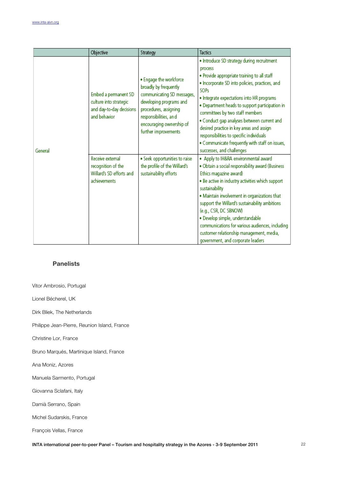|         | Objective                                                                                   | Strategy                                                                                                                                                                                                       | <b>Tactics</b>                                                                                                                                                                                                                                                                                                                                                                                                                                                                                                               |
|---------|---------------------------------------------------------------------------------------------|----------------------------------------------------------------------------------------------------------------------------------------------------------------------------------------------------------------|------------------------------------------------------------------------------------------------------------------------------------------------------------------------------------------------------------------------------------------------------------------------------------------------------------------------------------------------------------------------------------------------------------------------------------------------------------------------------------------------------------------------------|
| General | Embed a permanent SD<br>culture into strategic<br>and day-to-day decisions<br>and behavior. | • Engage the workforce<br>broadly by frequently<br>communicating SD messages,<br>developing programs and<br>procedures, assigning<br>responsibilities, and<br>encouraging ownership of<br>further improvements | . Introduce SD strategy during recruitment<br>process<br>. Provide appropriate training to all staff<br>. Incorporate SD into policies, practices, and<br><b>SOPs</b><br>. Integrate expectations into HR programs<br>. Department heads to support participation in<br>committees by two staff members<br>. Conduct gap analyses between current and<br>desired practice in key areas and assign<br>responsibilities to specific individuals<br>. Communicate frequently with staff on issues,<br>successes, and challenges |
|         | Receive external<br>recognition of the<br>Willard's SD efforts and<br>achievements          | · Seek opportunities to raise<br>the profile of the Willard's<br>sustainability efforts                                                                                                                        | . Apply to IH&RA environmental award<br>. Obtain a social responsibility award (Business<br>Ethics magazine award)<br>. Be active in industry activities which support<br>sustainability<br>. Maintain involvement in organizations that<br>support the Willard's sustainability ambitions<br>(e.g., CSR, DC SBNOW)<br>· Develop simple, understandable<br>communications for various audiences, including<br>customer relationship management, media,<br>government, and corporate leaders                                  |

### **Panelists**

Vitor Ambrosio, Portugal

Lionel Bécherel, UK

Dirk Bliek, The Netherlands

Philippe Jean-Pierre, Reunion Island, France

Christine Lor, France

Bruno Marqués, Martinique Island, France

Ana Moniz, Azores

Manuela Sarmento, Portugal

Giovanna Sclafani, Italy

Damià Serrano, Spain

Michel Sudarskis, France

François Vellas, France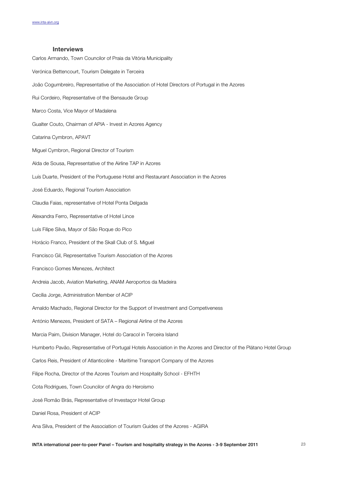#### **Interviews**

Carlos Armando, Town Councilor of Praia da Vitória Municipality Verónica Bettencourt, Tourism Delegate in Terceira João Cogumbreiro, Representative of the Association of Hotel Directors of Portugal in the Azores Rui Cordeiro, Representative of the Bensaude Group Marco Costa, Vice Mayor of Madalena Gualter Couto, Chairman of APIA - Invest in Azores Agency Catarina Cymbron, APAVT Miguel Cymbron, Regional Director of Tourism Alda de Sousa, Representative of the Airline TAP in Azores Luís Duarte, President of the Portuguese Hotel and Restaurant Association in the Azores José Eduardo, Regional Tourism Association Claudia Faias, representative of Hotel Ponta Delgada Alexandra Ferro, Representative of Hotel Lince Luís Filipe Silva, Mayor of São Roque do Pico Horácio Franco, President of the Skall Club of S. Miguel Francisco Gil, Representative Tourism Association of the Azores Francisco Gomes Menezes, Architect Andreia Jacob, Aviation Marketing, ANAM Aeroportos da Madeira Cecília Jorge, Administration Member of ACIP Arnaldo Machado, Regional Director for the Support of Investment and Competiveness António Menezes, President of SATA – Regional Airline of the Azores Marcia Paim, Division Manager, Hotel do Caracol in Terceira Island Humberto Pavão, Representative of Portugal Hotels Association in the Azores and Director of the Plátano Hotel Group Carlos Reis, President of Atlanticoline - Maritime Transport Company of the Azores Filipe Rocha, Director of the Azores Tourism and Hospitality School - EFHTH Cota Rodrigues, Town Councilor of Angra do Heroísmo José Romão Brás, Representative of Investaçor Hotel Group Daniel Rosa, President of ACIP Ana Silva, President of the Association of Tourism Guides of the Azores - AGIRA